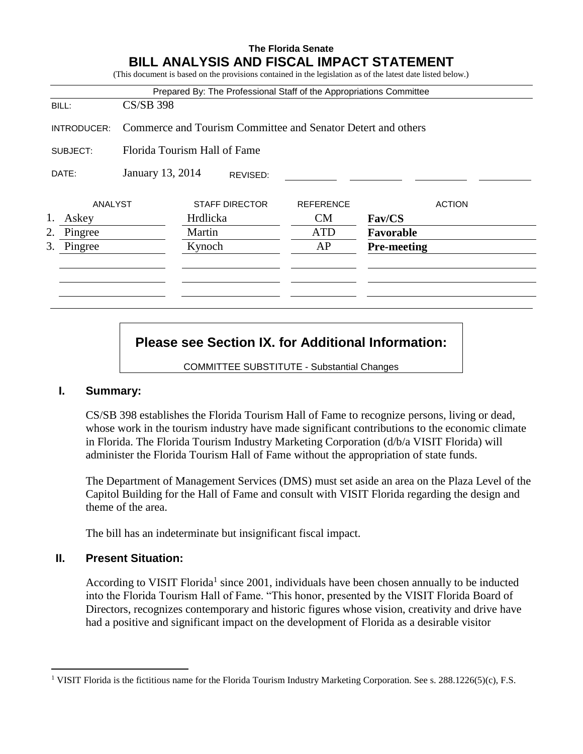## **The Florida Senate BILL ANALYSIS AND FISCAL IMPACT STATEMENT**

|               |                  | Prepared By: The Professional Staff of the Appropriations Committee |                  |               |
|---------------|------------------|---------------------------------------------------------------------|------------------|---------------|
| BILL:         | $CS/SB$ 398      |                                                                     |                  |               |
| INTRODUCER:   |                  | Commerce and Tourism Committee and Senator Detert and others        |                  |               |
| SUBJECT:      |                  | Florida Tourism Hall of Fame                                        |                  |               |
| DATE:         | January 13, 2014 | REVISED:                                                            |                  |               |
| ANALYST       |                  | <b>STAFF DIRECTOR</b>                                               | <b>REFERENCE</b> | <b>ACTION</b> |
| Askey         |                  | Hrdlicka                                                            | CM               | Fav/CS        |
|               |                  | Martin                                                              | <b>ATD</b>       | Favorable     |
| 2.<br>Pingree |                  |                                                                     |                  |               |

# **Please see Section IX. for Additional Information:**

COMMITTEE SUBSTITUTE - Substantial Changes

## **I. Summary:**

CS/SB 398 establishes the Florida Tourism Hall of Fame to recognize persons, living or dead, whose work in the tourism industry have made significant contributions to the economic climate in Florida. The Florida Tourism Industry Marketing Corporation (d/b/a VISIT Florida) will administer the Florida Tourism Hall of Fame without the appropriation of state funds.

The Department of Management Services (DMS) must set aside an area on the Plaza Level of the Capitol Building for the Hall of Fame and consult with VISIT Florida regarding the design and theme of the area.

The bill has an indeterminate but insignificant fiscal impact.

## **II. Present Situation:**

 $\overline{a}$ 

According to VISIT Florida<sup>1</sup> since 2001, individuals have been chosen annually to be inducted into the Florida Tourism Hall of Fame. "This honor, presented by the VISIT Florida Board of Directors, recognizes contemporary and historic figures whose vision, creativity and drive have had a positive and significant impact on the development of Florida as a desirable visitor

<sup>&</sup>lt;sup>1</sup> VISIT Florida is the fictitious name for the Florida Tourism Industry Marketing Corporation. See s. 288.1226(5)(c), F.S.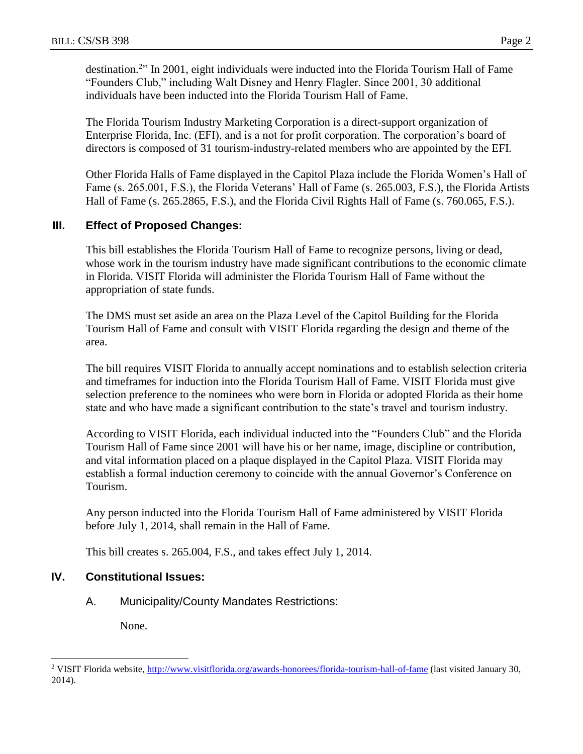destination.<sup>2</sup>" In 2001, eight individuals were inducted into the Florida Tourism Hall of Fame "Founders Club," including Walt Disney and Henry Flagler. Since 2001, 30 additional individuals have been inducted into the Florida Tourism Hall of Fame.

The Florida Tourism Industry Marketing Corporation is a direct-support organization of Enterprise Florida, Inc. (EFI), and is a not for profit corporation. The corporation's board of directors is composed of 31 tourism-industry-related members who are appointed by the EFI.

Other Florida Halls of Fame displayed in the Capitol Plaza include the Florida Women's Hall of Fame (s. 265.001, F.S.), the Florida Veterans' Hall of Fame (s. 265.003, F.S.), the Florida Artists Hall of Fame (s. 265.2865, F.S.), and the Florida Civil Rights Hall of Fame (s. 760.065, F.S.).

## **III. Effect of Proposed Changes:**

This bill establishes the Florida Tourism Hall of Fame to recognize persons, living or dead, whose work in the tourism industry have made significant contributions to the economic climate in Florida. VISIT Florida will administer the Florida Tourism Hall of Fame without the appropriation of state funds.

The DMS must set aside an area on the Plaza Level of the Capitol Building for the Florida Tourism Hall of Fame and consult with VISIT Florida regarding the design and theme of the area.

The bill requires VISIT Florida to annually accept nominations and to establish selection criteria and timeframes for induction into the Florida Tourism Hall of Fame. VISIT Florida must give selection preference to the nominees who were born in Florida or adopted Florida as their home state and who have made a significant contribution to the state's travel and tourism industry.

According to VISIT Florida, each individual inducted into the "Founders Club" and the Florida Tourism Hall of Fame since 2001 will have his or her name, image, discipline or contribution, and vital information placed on a plaque displayed in the Capitol Plaza. VISIT Florida may establish a formal induction ceremony to coincide with the annual Governor's Conference on Tourism.

Any person inducted into the Florida Tourism Hall of Fame administered by VISIT Florida before July 1, 2014, shall remain in the Hall of Fame.

This bill creates s. 265.004, F.S., and takes effect July 1, 2014.

## **IV. Constitutional Issues:**

A. Municipality/County Mandates Restrictions:

None.

 $\overline{a}$ 

<sup>&</sup>lt;sup>2</sup> VISIT Florida website[, http://www.visitflorida.org/awards-honorees/florida-tourism-hall-of-fame](http://www.visitflorida.org/awards-honorees/florida-tourism-hall-of-fame) (last visited January 30, 2014).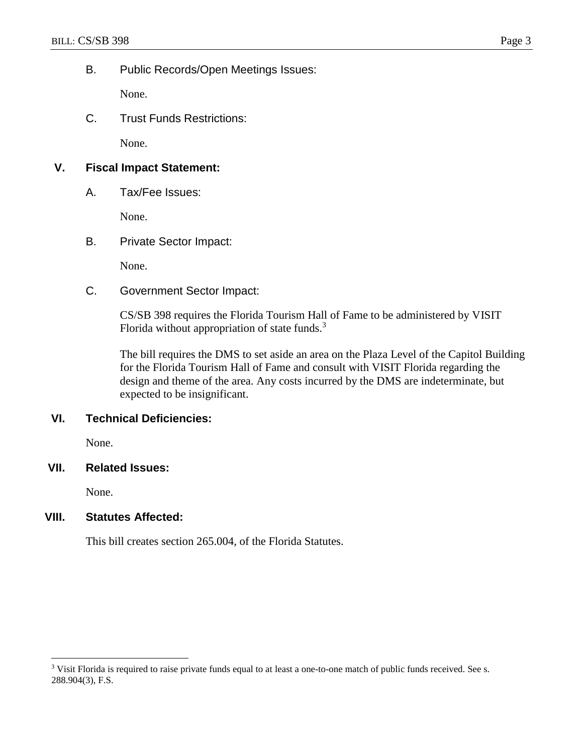## B. Public Records/Open Meetings Issues:

None.

C. Trust Funds Restrictions:

None.

## **V. Fiscal Impact Statement:**

A. Tax/Fee Issues:

None.

B. Private Sector Impact:

None.

C. Government Sector Impact:

CS/SB 398 requires the Florida Tourism Hall of Fame to be administered by VISIT Florida without appropriation of state funds.<sup>3</sup>

The bill requires the DMS to set aside an area on the Plaza Level of the Capitol Building for the Florida Tourism Hall of Fame and consult with VISIT Florida regarding the design and theme of the area. Any costs incurred by the DMS are indeterminate, but expected to be insignificant.

## **VI. Technical Deficiencies:**

None.

## **VII. Related Issues:**

None.

 $\overline{a}$ 

## **VIII. Statutes Affected:**

This bill creates section 265.004, of the Florida Statutes.

<sup>&</sup>lt;sup>3</sup> Visit Florida is required to raise private funds equal to at least a one-to-one match of public funds received. See s. 288.904(3), F.S.